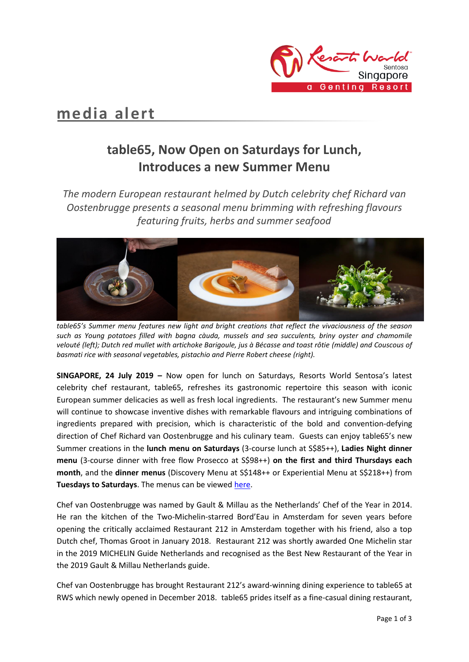

# **media alert**

# **table65, Now Open on Saturdays for Lunch, Introduces a new Summer Menu**

*The modern European restaurant helmed by Dutch celebrity chef Richard van Oostenbrugge presents a seasonal menu brimming with refreshing flavours featuring fruits, herbs and summer seafood*



*table65's Summer menu features new light and bright creations that reflect the vivaciousness of the season such as Young potatoes filled with bagna càuda, mussels and sea succulents, briny oyster and chamomile velouté (left); Dutch red mullet with artichoke Barigoule, jus à Bécasse and toast rôtie (middle) and Couscous of basmati rice with seasonal vegetables, pistachio and Pierre Robert cheese (right).* 

**SINGAPORE, 24 July 2019 –** Now open for lunch on Saturdays, Resorts World Sentosa's latest celebrity chef restaurant, table65, refreshes its gastronomic repertoire this season with iconic European summer delicacies as well as fresh local ingredients. The restaurant's new Summer menu will continue to showcase inventive dishes with remarkable flavours and intriguing combinations of ingredients prepared with precision, which is characteristic of the bold and convention-defying direction of Chef Richard van Oostenbrugge and his culinary team. Guests can enjoy table65's new Summer creations in the **lunch menu on Saturdays** (3-course lunch at S\$85++), **Ladies Night dinner menu** (3-course dinner with free flow Prosecco at S\$98++) **on the first and third Thursdays each month**, and the **dinner menus** (Discovery Menu at S\$148++ or Experiential Menu at S\$218++) from **Tuesdays to Saturdays**. The menus can be viewe[d here.](https://www.rwsentosa.com/en/restaurants/table65/menus)

Chef van Oostenbrugge was named by Gault & Millau as the Netherlands' Chef of the Year in 2014. He ran the kitchen of the Two-Michelin-starred Bord'Eau in Amsterdam for seven years before opening the critically acclaimed Restaurant 212 in Amsterdam together with his friend, also a top Dutch chef, Thomas Groot in January 2018. Restaurant 212 was shortly awarded One Michelin star in the 2019 MICHELIN Guide Netherlands and recognised as the Best New Restaurant of the Year in the 2019 Gault & Millau Netherlands guide.

Chef van Oostenbrugge has brought Restaurant 212's award-winning dining experience to table65 at RWS which newly opened in December 2018. table65 prides itself as a fine-casual dining restaurant,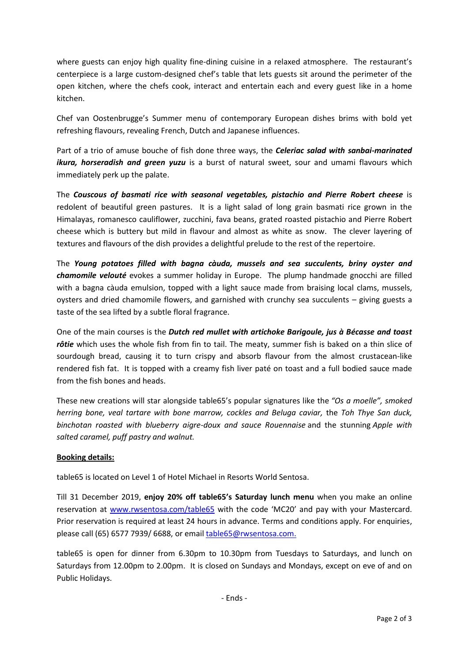where guests can enjoy high quality fine-dining cuisine in a relaxed atmosphere. The restaurant's centerpiece is a large custom-designed chef's table that lets guests sit around the perimeter of the open kitchen, where the chefs cook, interact and entertain each and every guest like in a home kitchen.

Chef van Oostenbrugge's Summer menu of contemporary European dishes brims with bold yet refreshing flavours, revealing French, Dutch and Japanese influences.

Part of a trio of amuse bouche of fish done three ways, the *Celeriac salad with sanbai-marinated ikura, horseradish and green yuzu* is a burst of natural sweet, sour and umami flavours which immediately perk up the palate.

The *Couscous of basmati rice with seasonal vegetables, pistachio and Pierre Robert cheese* is redolent of beautiful green pastures. It is a light salad of long grain basmati rice grown in the Himalayas, romanesco cauliflower, zucchini, fava beans, grated roasted pistachio and Pierre Robert cheese which is buttery but mild in flavour and almost as white as snow. The clever layering of textures and flavours of the dish provides a delightful prelude to the rest of the repertoire.

The *Young potatoes filled with bagna càuda, mussels and sea succulents, briny oyster and chamomile velouté* evokes a summer holiday in Europe. The plump handmade gnocchi are filled with a bagna càuda emulsion, topped with a light sauce made from braising local clams, mussels, oysters and dried chamomile flowers, and garnished with crunchy sea succulents – giving guests a taste of the sea lifted by a subtle floral fragrance.

One of the main courses is the *Dutch red mullet with artichoke Barigoule, jus à Bécasse and toast rôtie* which uses the whole fish from fin to tail. The meaty, summer fish is baked on a thin slice of sourdough bread, causing it to turn crispy and absorb flavour from the almost crustacean-like rendered fish fat. It is topped with a creamy fish liver paté on toast and a full bodied sauce made from the fish bones and heads.

These new creations will star alongside table65's popular signatures like the *"Os a moelle", smoked herring bone, veal tartare with bone marrow, cockles and Beluga caviar,* the *Toh Thye San duck, binchotan roasted with blueberry aigre-doux and sauce Rouennaise* and the stunning *Apple with salted caramel, puff pastry and walnut.* 

## **Booking details:**

table65 is located on Level 1 of Hotel Michael in Resorts World Sentosa.

Till 31 December 2019, **enjoy 20% off table65's Saturday lunch menu** when you make an online reservation at [www.rwsentosa.com/table65](http://www.rwsentosa.com/table65) with the code 'MC20' and pay with your Mastercard. Prior reservation is required at least 24 hours in advance. Terms and conditions apply. For enquiries, please call (65) 6577 7939/ 6688, or emai[l table65@rwsentosa.com.](mailto:table65@rwsentosa.com)

table65 is open for dinner from 6.30pm to 10.30pm from Tuesdays to Saturdays, and lunch on Saturdays from 12.00pm to 2.00pm. It is closed on Sundays and Mondays, except on eve of and on Public Holidays.